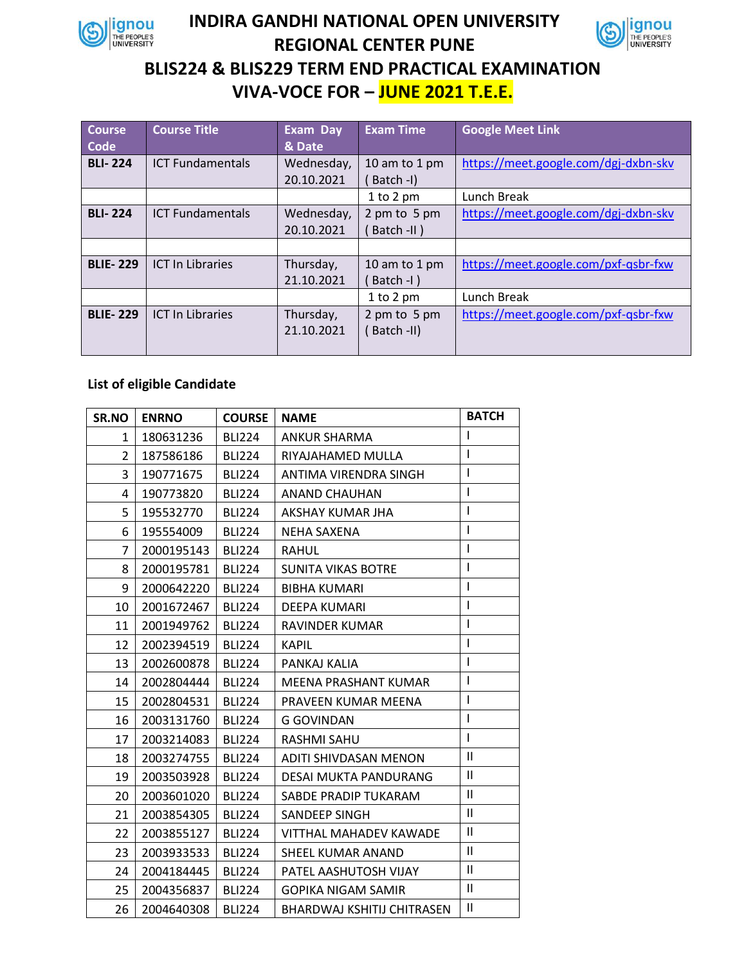

## **INDIRA GANDHI NATIONAL OPEN UNIVERSITY REGIONAL CENTER PUNE BLIS224 & BLIS229 TERM END PRACTICAL EXAMINATION VIVA-VOCE FOR – JUNE 2021 T.E.E.**

| <b>Course</b>   | <b>Course Title</b>     | <b>Exam Day</b> | <b>Exam Time</b> | <b>Google Meet Link</b>              |
|-----------------|-------------------------|-----------------|------------------|--------------------------------------|
| Code            |                         | & Date          |                  |                                      |
| <b>BLI-224</b>  | <b>ICT Fundamentals</b> | Wednesday,      | 10 am to 1 pm    | https://meet.google.com/dgj-dxbn-skv |
|                 |                         | 20.10.2021      | Batch -I)        |                                      |
|                 |                         |                 | $1$ to $2$ pm    | Lunch Break                          |
| <b>BLI-224</b>  | <b>ICT Fundamentals</b> | Wednesday,      | 2 pm to 5 pm     | https://meet.google.com/dgj-dxbn-skv |
|                 |                         | 20.10.2021      | Batch -II)       |                                      |
|                 |                         |                 |                  |                                      |
| <b>BLIE-229</b> | <b>ICT In Libraries</b> | Thursday,       | 10 am to 1 pm    | https://meet.google.com/pxf-qsbr-fxw |
|                 |                         | 21.10.2021      | Batch -I)        |                                      |
|                 |                         |                 | $1$ to $2$ pm    | Lunch Break                          |
| <b>BLIE-229</b> | <b>ICT In Libraries</b> | Thursday,       | 2 pm to 5 pm     | https://meet.google.com/pxf-qsbr-fxw |
|                 |                         | 21.10.2021      | Batch -II)       |                                      |
|                 |                         |                 |                  |                                      |

## **List of eligible Candidate**

| SR.NO        | <b>ENRNO</b> | <b>COURSE</b> | <b>NAME</b>                       | <b>BATCH</b>  |
|--------------|--------------|---------------|-----------------------------------|---------------|
| $\mathbf{1}$ | 180631236    | <b>BLI224</b> | <b>ANKUR SHARMA</b>               | $\mathbf{I}$  |
| 2            | 187586186    | <b>BLI224</b> | RIYAJAHAMED MULLA                 | $\mathbf{I}$  |
| 3            | 190771675    | <b>BLI224</b> | ANTIMA VIRENDRA SINGH             | $\mathsf{I}$  |
| 4            | 190773820    | <b>BLI224</b> | <b>ANAND CHAUHAN</b>              | $\mathbf{I}$  |
| 5            | 195532770    | <b>BLI224</b> | AKSHAY KUMAR JHA                  | $\mathsf{I}$  |
| 6            | 195554009    | <b>BLI224</b> | NEHA SAXENA                       | $\mathbf{I}$  |
| 7            | 2000195143   | <b>BLI224</b> | RAHUL                             | $\mathsf{I}$  |
| 8            | 2000195781   | <b>BLI224</b> | <b>SUNITA VIKAS BOTRE</b>         | $\mathsf{I}$  |
| 9            | 2000642220   | <b>BLI224</b> | <b>BIBHA KUMARI</b>               | $\mathsf{I}$  |
| 10           | 2001672467   | <b>BLI224</b> | DEEPA KUMARI                      | $\mathsf{I}$  |
| 11           | 2001949762   | <b>BLI224</b> | RAVINDER KUMAR                    | $\mathbf{I}$  |
| 12           | 2002394519   | <b>BLI224</b> | <b>KAPIL</b>                      | $\mathsf{I}$  |
| 13           | 2002600878   | <b>BLI224</b> | PANKAJ KALIA                      | $\mathbf{I}$  |
| 14           | 2002804444   | <b>BLI224</b> | MEENA PRASHANT KUMAR              | $\mathsf{I}$  |
| 15           | 2002804531   | <b>BLI224</b> | PRAVEEN KUMAR MEENA               | $\mathsf{I}$  |
| 16           | 2003131760   | <b>BLI224</b> | G GOVINDAN                        | $\mathbf{I}$  |
| 17           | 2003214083   | <b>BLI224</b> | <b>RASHMI SAHU</b>                | $\mathsf{I}$  |
| 18           | 2003274755   | <b>BLI224</b> | ADITI SHIVDASAN MENON             | $\mathsf{I}$  |
| 19           | 2003503928   | <b>BLI224</b> | DESAI MUKTA PANDURANG             | $\mathbf{I}$  |
| 20           | 2003601020   | <b>BLI224</b> | SABDE PRADIP TUKARAM              | $\mathbf{II}$ |
| 21           | 2003854305   | <b>BLI224</b> | SANDEEP SINGH                     | $\mathbf{H}$  |
| 22           | 2003855127   | <b>BLI224</b> | VITTHAL MAHADEV KAWADE            | $\mathbf{I}$  |
| 23           | 2003933533   | <b>BLI224</b> | SHEEL KUMAR ANAND                 | Ш             |
| 24           | 2004184445   | <b>BLI224</b> | PATEL AASHUTOSH VIJAY             | $\mathbf{I}$  |
| 25           | 2004356837   | <b>BLI224</b> | <b>GOPIKA NIGAM SAMIR</b>         | $\mathbf{I}$  |
| 26           | 2004640308   | <b>BLI224</b> | <b>BHARDWAJ KSHITIJ CHITRASEN</b> | $\mathbf{I}$  |